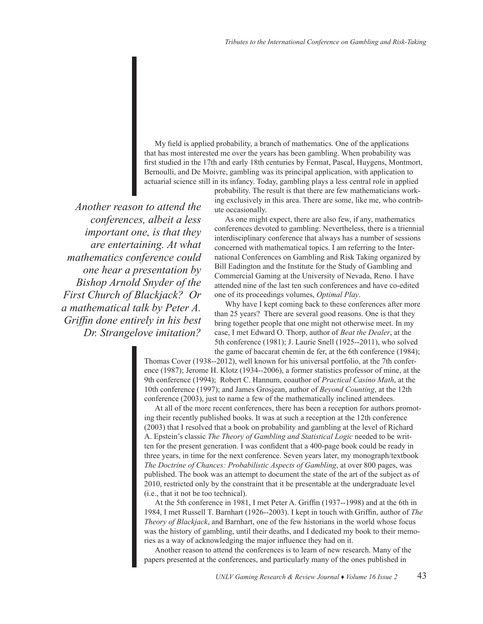My field is applied probability, a branch of mathematics. One of the applications that has most interested me over the years has been gambling. When probability was first studied in the 17th and early 18th centuries by Fermat, Pascal, Huygens, Montmort, Bernoulli, and De Moivre, gambling was its principal application, with application to actuarial science still in its infancy. Today, gambling plays a less central role in applied

> probability. The result is that there are few mathematicians working exclusively in this area. There are some, like me, who contribute occasionally.

*Another reason to attend the conferences, albeit a less important one, is that they are entertaining. At what mathematics conference could one hear a presentation by Bishop Arnold Snyder of the First Church of Blackjack? Or a mathematical talk by Peter A. Griffin done entirely in his best Dr. Strangelove imitation?*

As one might expect, there are also few, if any, mathematics conferences devoted to gambling. Nevertheless, there is a triennial interdisciplinary conference that always has a number of sessions concerned with mathematical topics. I am referring to the International Conferences on Gambling and Risk Taking organized by Bill Eadington and the Institute for the Study of Gambling and Commercial Gaming at the University of Nevada, Reno. I have attended nine of the last ten such conferences and have co-edited one of its proceedings volumes, *Optimal Play*.

Why have I kept coming back to these conferences after more than 25 years? There are several good reasons. One is that they bring together people that one might not otherwise meet. In my case, I met Edward O. Thorp, author of *Beat the Dealer*, at the 5th conference (1981); J. Laurie Snell (1925--2011), who solved the game of baccarat chemin de fer, at the 6th conference (1984);

Thomas Cover (1938--2012), well known for his universal portfolio, at the 7th conference (1987); Jerome H. Klotz (1934--2006), a former statistics professor of mine, at the 9th conference (1994); Robert C. Hannum, coauthor of *Practical Casino Math*, at the 10th conference (1997); and James Grosjean, author of *Beyond Counting*, at the 12th conference (2003), just to name a few of the mathematically inclined attendees.

At all of the more recent conferences, there has been a reception for authors promoting their recently published books. It was at such a reception at the 12th conference (2003) that I resolved that a book on probability and gambling at the level of Richard A. Epstein's classic *The Theory of Gambling and Statistical Logic* needed to be written for the present generation. I was confident that a 400-page book could be ready in three years, in time for the next conference. Seven years later, my monograph/textbook *The Doctrine of Chances: Probabilistic Aspects of Gambling*, at over 800 pages, was published. The book was an attempt to document the state of the art of the subject as of 2010, restricted only by the constraint that it be presentable at the undergraduate level (i.e., that it not be too technical).

At the 5th conference in 1981, I met Peter A. Griffin (1937--1998) and at the 6th in 1984, I met Russell T. Barnhart (1926--2003). I kept in touch with Griffin, author of *The Theory of Blackjack*, and Barnhart, one of the few historians in the world whose focus was the history of gambling, until their deaths, and I dedicated my book to their memories as a way of acknowledging the major influence they had on it.

Another reason to attend the conferences is to learn of new research. Many of the papers presented at the conferences, and particularly many of the ones published in